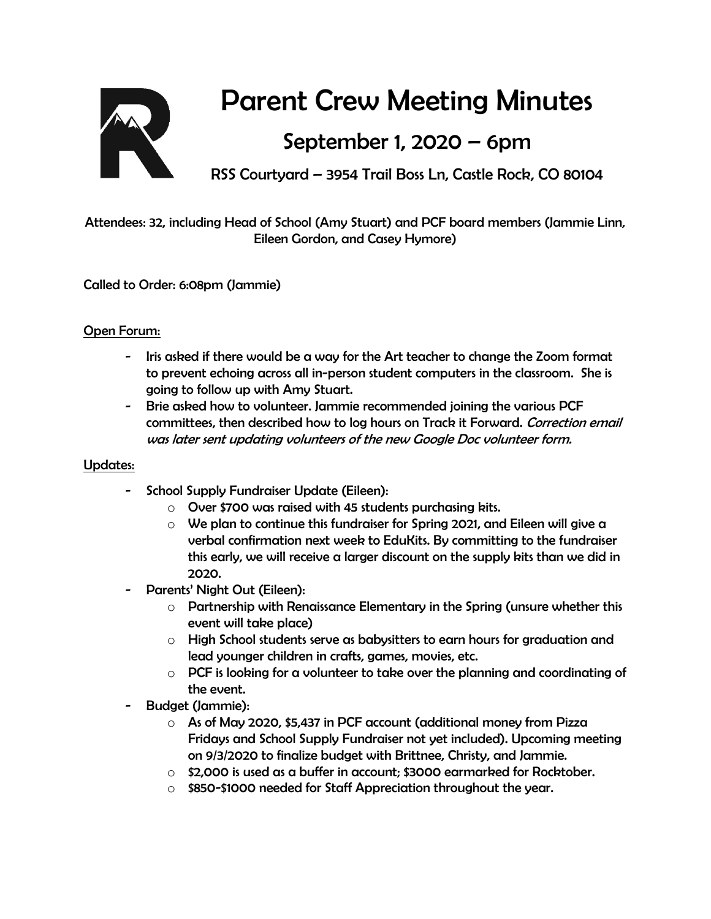

# Parent Crew Meeting Minutes

## September 1, 2020 – 6pm

RSS Courtyard – 3954 Trail Boss Ln, Castle Rock, CO 80104

Attendees: 32, including Head of School (Amy Stuart) and PCF board members (Jammie Linn, Eileen Gordon, and Casey Hymore)

Called to Order: 6:08pm (Jammie)

### Open Forum:

- Iris asked if there would be a way for the Art teacher to change the Zoom format to prevent echoing across all in-person student computers in the classroom. She is going to follow up with Amy Stuart.
- Brie asked how to volunteer. Jammie recommended joining the various PCF committees, then described how to log hours on Track it Forward. Correction email was later sent updating volunteers of the new Google Doc volunteer form.

#### Updates:

- School Supply Fundraiser Update (Eileen):
	- o Over \$700 was raised with 45 students purchasing kits.
	- $\circ$  We plan to continue this fundraiser for Spring 2021, and Eileen will give a verbal confirmation next week to EduKits. By committing to the fundraiser this early, we will receive a larger discount on the supply kits than we did in 2020.
- Parents' Night Out (Eileen):
	- $\circ$  Partnership with Renaissance Elementary in the Spring (unsure whether this event will take place)
	- $\circ$  High School students serve as babysitters to earn hours for graduation and lead younger children in crafts, games, movies, etc.
	- $\circ$  PCF is looking for a volunteer to take over the planning and coordinating of the event.
- Budget (Jammie):
	- o As of May 2020, \$5,437 in PCF account (additional money from Pizza Fridays and School Supply Fundraiser not yet included). Upcoming meeting on 9/3/2020 to finalize budget with Brittnee, Christy, and Jammie.
	- $\circ$  \$2,000 is used as a buffer in account; \$3000 earmarked for Rocktober.
	- o \$850-\$1000 needed for Staff Appreciation throughout the year.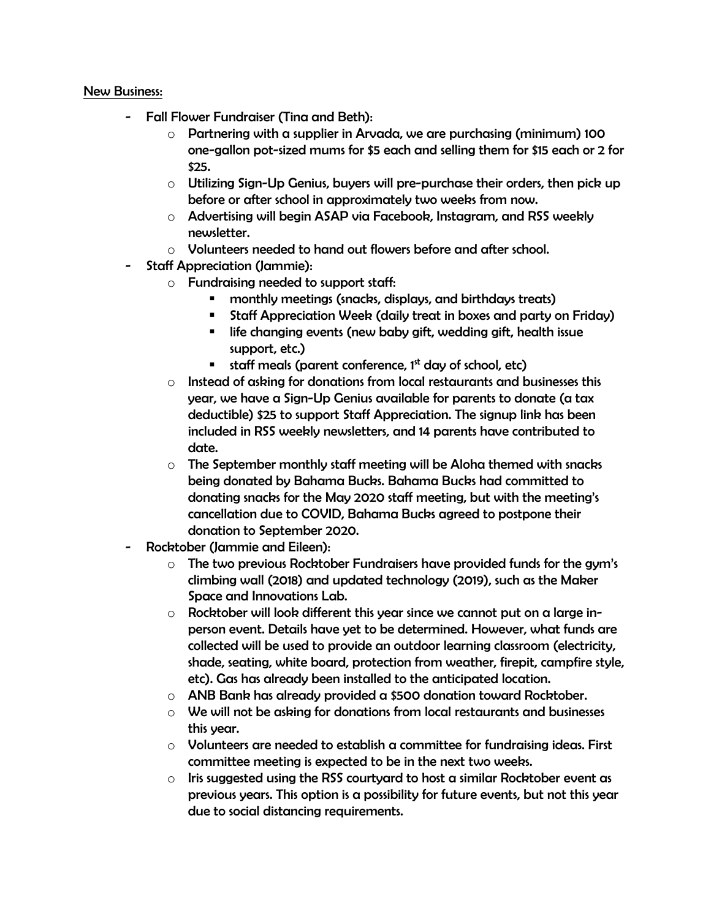#### New Business:

- Fall Flower Fundraiser (Tina and Beth):
	- o Partnering with a supplier in Arvada, we are purchasing (minimum) 100 one-gallon pot-sized mums for \$5 each and selling them for \$15 each or 2 for \$25.
	- $\circ$  Utilizing Sign-Up Genius, buyers will pre-purchase their orders, then pick up before or after school in approximately two weeks from now.
	- o Advertising will begin ASAP via Facebook, Instagram, and RSS weekly newsletter.
	- o Volunteers needed to hand out flowers before and after school.
- Staff Appreciation (Jammie):
	- o Fundraising needed to support staff:
		- monthly meetings (snacks, displays, and birthdays treats)
		- Staff Appreciation Week (daily treat in boxes and party on Friday)
		- life changing events (new baby gift, wedding gift, health issue support, etc.)
		- **staff meals (parent conference, 1st day of school, etc)**
	- o Instead of asking for donations from local restaurants and businesses this year, we have a Sign-Up Genius available for parents to donate (a tax deductible) \$25 to support Staff Appreciation. The signup link has been included in RSS weekly newsletters, and 14 parents have contributed to date.
	- $\circ$  The September monthly staff meeting will be Aloha themed with snacks being donated by Bahama Bucks. Bahama Bucks had committed to donating snacks for the May 2020 staff meeting, but with the meeting's cancellation due to COVID, Bahama Bucks agreed to postpone their donation to September 2020.
- Rocktober (Jammie and Eileen):
	- $\circ$  The two previous Rocktober Fundraisers have provided funds for the gym's climbing wall (2018) and updated technology (2019), such as the Maker Space and Innovations Lab.
	- $\circ$  Rocktober will look different this year since we cannot put on a large inperson event. Details have yet to be determined. However, what funds are collected will be used to provide an outdoor learning classroom (electricity, shade, seating, white board, protection from weather, firepit, campfire style, etc). Gas has already been installed to the anticipated location.
	- o ANB Bank has already provided a \$500 donation toward Rocktober.
	- $\circ$  We will not be asking for donations from local restaurants and businesses this year.
	- $\circ$  Volunteers are needed to establish a committee for fundraising ideas. First committee meeting is expected to be in the next two weeks.
	- $\circ$  Iris suggested using the RSS courtyard to host a similar Rocktober event as previous years. This option is a possibility for future events, but not this year due to social distancing requirements.